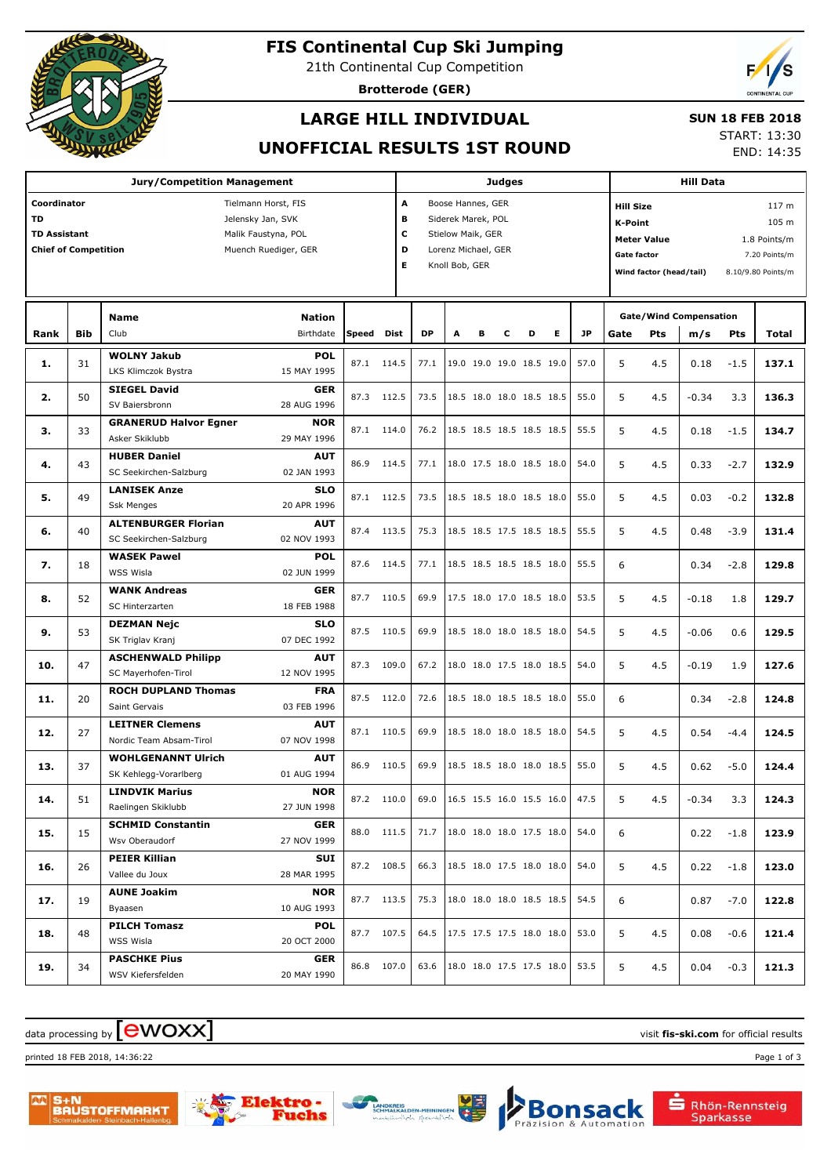

## **FIS Continental Cup Ski Jumping**

21th Continental Cup Competition

**Brotterode (GER)**



## **LARGE HILL INDIVIDUAL**

#### **SUN 18 FEB 2018**

### **UNOFFICIAL RESULTS 1ST ROUND**

START: 13:30 END: 14:35

| <b>Jury/Competition Management</b>                                                                                                                                        |            |                                                      |                            |       |             | Judges                                                                                                                         |   |   |   |                                 |   |           |                                                                                                           | <b>Hill Data</b> |                                      |            |                                                                                  |  |  |
|---------------------------------------------------------------------------------------------------------------------------------------------------------------------------|------------|------------------------------------------------------|----------------------------|-------|-------------|--------------------------------------------------------------------------------------------------------------------------------|---|---|---|---------------------------------|---|-----------|-----------------------------------------------------------------------------------------------------------|------------------|--------------------------------------|------------|----------------------------------------------------------------------------------|--|--|
| Coordinator<br>Tielmann Horst, FIS<br><b>TD</b><br>Jelensky Jan, SVK<br><b>TD Assistant</b><br>Malik Faustyna, POL<br><b>Chief of Competition</b><br>Muench Ruediger, GER |            |                                                      |                            |       |             | A<br>Boose Hannes, GER<br>в<br>Siderek Marek, POL<br>c<br>Stielow Maik, GER<br>D<br>Lorenz Michael, GER<br>Е<br>Knoll Bob, GER |   |   |   |                                 |   |           | <b>Hill Size</b><br><b>K-Point</b><br><b>Meter Value</b><br><b>Gate factor</b><br>Wind factor (head/tail) |                  |                                      |            | 117 <sub>m</sub><br>105 m<br>1.8 Points/m<br>7.20 Points/m<br>8.10/9.80 Points/m |  |  |
| Rank                                                                                                                                                                      | <b>Bib</b> | <b>Name</b><br>Club                                  | <b>Nation</b><br>Birthdate | Speed | <b>Dist</b> | <b>DP</b>                                                                                                                      | A | в | с | D                               | Е | <b>JP</b> | Gate                                                                                                      | <b>Pts</b>       | <b>Gate/Wind Compensation</b><br>m/s | <b>Pts</b> | Total                                                                            |  |  |
| 1.                                                                                                                                                                        | 31         | <b>WOLNY Jakub</b><br>LKS Klimczok Bystra            | <b>POL</b><br>15 MAY 1995  | 87.1  | 114.5       | 77.1                                                                                                                           |   |   |   | 19.0 19.0 19.0 18.5 19.0        |   | 57.0      | 5                                                                                                         | 4.5              | 0.18                                 | $-1.5$     | 137.1                                                                            |  |  |
| 2.                                                                                                                                                                        | 50         | <b>SIEGEL David</b><br>SV Baiersbronn                | <b>GER</b><br>28 AUG 1996  | 87.3  | 112.5       | 73.5                                                                                                                           |   |   |   | 18.5 18.0 18.0 18.5 18.5        |   | 55.0      | 5                                                                                                         | 4.5              | $-0.34$                              | 3.3        | 136.3                                                                            |  |  |
| з.                                                                                                                                                                        | 33         | <b>GRANERUD Halvor Egner</b><br>Asker Skiklubb       | <b>NOR</b><br>29 MAY 1996  | 87.1  | 114.0       | 76.2                                                                                                                           |   |   |   | 18.5 18.5 18.5 18.5 18.5        |   | 55.5      | 5                                                                                                         | 4.5              | 0.18                                 | $-1.5$     | 134.7                                                                            |  |  |
| 4.                                                                                                                                                                        | 43         | <b>HUBER Daniel</b><br>SC Seekirchen-Salzburg        | <b>AUT</b><br>02 JAN 1993  | 86.9  | 114.5       | 77.1                                                                                                                           |   |   |   | 18.0 17.5 18.0 18.5 18.0        |   | 54.0      | 5                                                                                                         | 4.5              | 0.33                                 | $-2.7$     | 132.9                                                                            |  |  |
| 5.                                                                                                                                                                        | 49         | <b>LANISEK Anze</b><br><b>Ssk Menges</b>             | <b>SLO</b><br>20 APR 1996  | 87.1  | 112.5       | 73.5                                                                                                                           |   |   |   | 18.5 18.5 18.0 18.5 18.0        |   | 55.0      | 5                                                                                                         | 4.5              | 0.03                                 | $-0.2$     | 132.8                                                                            |  |  |
| 6.                                                                                                                                                                        | 40         | <b>ALTENBURGER Florian</b><br>SC Seekirchen-Salzburg | <b>AUT</b><br>02 NOV 1993  | 87.4  | 113.5       | 75.3                                                                                                                           |   |   |   | 18.5 18.5 17.5 18.5 18.5        |   | 55.5      | 5                                                                                                         | 4.5              | 0.48                                 | $-3.9$     | 131.4                                                                            |  |  |
| 7.                                                                                                                                                                        | 18         | <b>WASEK Pawel</b><br><b>WSS Wisla</b>               | <b>POL</b><br>02 JUN 1999  | 87.6  | 114.5       | 77.1                                                                                                                           |   |   |   | 18.5 18.5 18.5 18.5 18.0        |   | 55.5      | 6                                                                                                         |                  | 0.34                                 | $-2.8$     | 129.8                                                                            |  |  |
| 8.                                                                                                                                                                        | 52         | <b>WANK Andreas</b><br>SC Hinterzarten               | <b>GER</b><br>18 FEB 1988  | 87.7  | 110.5       | 69.9                                                                                                                           |   |   |   | 17.5 18.0 17.0 18.5 18.0        |   | 53.5      | 5                                                                                                         | 4.5              | $-0.18$                              | 1.8        | 129.7                                                                            |  |  |
| 9.                                                                                                                                                                        | 53         | <b>DEZMAN Nejc</b><br>SK Triglav Kranj               | <b>SLO</b><br>07 DEC 1992  | 87.5  | 110.5       | 69.9                                                                                                                           |   |   |   | 18.5 18.0 18.0 18.5 18.0        |   | 54.5      | 5                                                                                                         | 4.5              | $-0.06$                              | 0.6        | 129.5                                                                            |  |  |
| 10.                                                                                                                                                                       | 47         | <b>ASCHENWALD Philipp</b><br>SC Mayerhofen-Tirol     | <b>AUT</b><br>12 NOV 1995  | 87.3  | 109.0       | 67.2                                                                                                                           |   |   |   | 18.0 18.0 17.5 18.0 18.5        |   | 54.0      | 5                                                                                                         | 4.5              | $-0.19$                              | 1.9        | 127.6                                                                            |  |  |
| 11.                                                                                                                                                                       | 20         | <b>ROCH DUPLAND Thomas</b><br>Saint Gervais          | <b>FRA</b><br>03 FEB 1996  | 87.5  | 112.0       | 72.6                                                                                                                           |   |   |   | 18.5 18.0 18.5 18.5 18.0        |   | 55.0      | 6                                                                                                         |                  | 0.34                                 | $-2.8$     | 124.8                                                                            |  |  |
| 12.                                                                                                                                                                       | 27         | <b>LEITNER Clemens</b><br>Nordic Team Absam-Tirol    | <b>AUT</b><br>07 NOV 1998  | 87.1  | 110.5       | 69.9                                                                                                                           |   |   |   | 18.5 18.0 18.0 18.5 18.0        |   | 54.5      | 5                                                                                                         | 4.5              | 0.54                                 | $-4.4$     | 124.5                                                                            |  |  |
| 13.                                                                                                                                                                       | 37         | <b>WOHLGENANNT Ulrich</b><br>SK Kehlegg-Vorarlberg   | <b>AUT</b><br>01 AUG 1994  | 86.9  | 110.5       | 69.9                                                                                                                           |   |   |   | 18.5 18.5 18.0 18.0 18.5        |   | 55.0      | 5                                                                                                         | 4.5              | 0.62                                 | $-5.0$     | 124.4                                                                            |  |  |
| 14.                                                                                                                                                                       | 51         | <b>LINDVIK Marius</b><br>Raelingen Skiklubb          | <b>NOR</b><br>27 JUN 1998  |       | 87.2 110.0  | 69.0                                                                                                                           |   |   |   | 16.5 15.5 16.0 15.5 16.0        |   | 47.5      | 5 <sub>1</sub>                                                                                            | 4.5              | $-0.34$ 3.3                          |            | 124.3                                                                            |  |  |
| 15.                                                                                                                                                                       | 15         | <b>SCHMID Constantin</b><br>Wsv Oberaudorf           | <b>GER</b><br>27 NOV 1999  |       | 88.0 111.5  |                                                                                                                                |   |   |   | 71.7   18.0 18.0 18.0 17.5 18.0 |   | 54.0      | 6                                                                                                         |                  | 0.22                                 | $-1.8$     | 123.9                                                                            |  |  |
| 16.                                                                                                                                                                       | 26         | <b>PEIER Killian</b><br>Vallee du Joux               | SUI<br>28 MAR 1995         |       | 87.2 108.5  |                                                                                                                                |   |   |   | 66.3   18.5 18.0 17.5 18.0 18.0 |   | 54.0      | 5                                                                                                         | 4.5              | 0.22                                 | $-1.8$     | 123.0                                                                            |  |  |
| 17.                                                                                                                                                                       | 19         | <b>AUNE Joakim</b><br>Byaasen                        | <b>NOR</b><br>10 AUG 1993  |       | 87.7 113.5  |                                                                                                                                |   |   |   | 75.3   18.0 18.0 18.0 18.5 18.5 |   | 54.5      | 6                                                                                                         |                  | 0.87                                 | $-7.0$     | 122.8                                                                            |  |  |
| 18.                                                                                                                                                                       | 48         | <b>PILCH Tomasz</b><br>WSS Wisla                     | <b>POL</b><br>20 OCT 2000  |       | 87.7 107.5  |                                                                                                                                |   |   |   | 64.5   17.5 17.5 17.5 18.0 18.0 |   | 53.0      | 5                                                                                                         | 4.5              | 0.08                                 | $-0.6$     | 121.4                                                                            |  |  |
| 19.                                                                                                                                                                       | 34         | <b>PASCHKE Pius</b><br>WSV Kiefersfelden             | <b>GER</b><br>20 MAY 1990  |       | 86.8 107.0  |                                                                                                                                |   |   |   | 63.6   18.0 18.0 17.5 17.5 18.0 |   | 53.5      | 5                                                                                                         | 4.5              | 0.04                                 | $-0.3$     | 121.3                                                                            |  |  |

# data processing by **CWOXX** and  $\overline{C}$  and  $\overline{C}$  and  $\overline{C}$  and  $\overline{C}$  and  $\overline{C}$  and  $\overline{C}$  and  $\overline{C}$  and  $\overline{C}$  and  $\overline{C}$  and  $\overline{C}$  and  $\overline{C}$  and  $\overline{C}$  and  $\overline{C}$  and  $\overline{C}$  and  $\overline{C}$

printed 18 FEB 2018, 14:36:22 Page 1 of 3







**S** Rhön-Rennsteig Sparkasse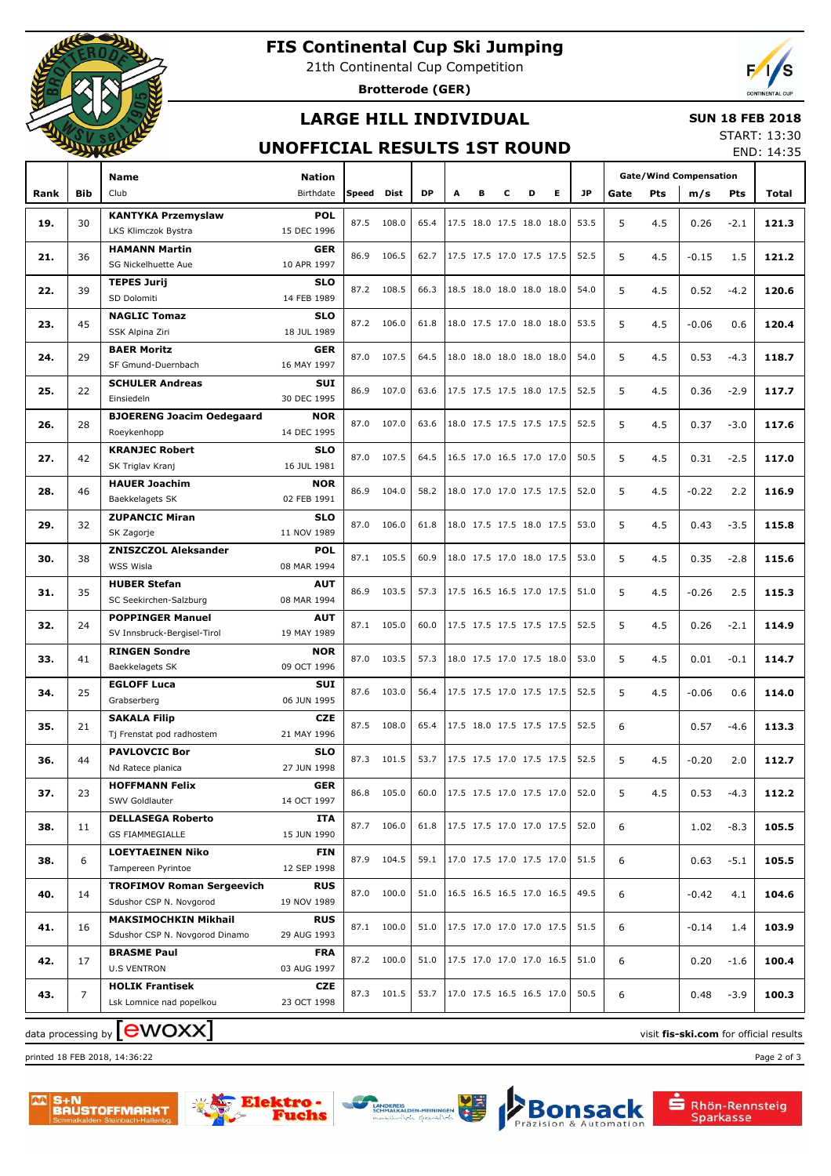

# **FIS Continental Cup Ski Jumping**

21th Continental Cup Competition

**Brotterode (GER)**



### **LARGE HILL INDIVIDUAL**

#### **SUN 18 FEB 2018**

### **UNOFFICIAL RESULTS 1ST ROUND**

START: 13:30 END: 14:35

| <b>Gate/Wind Compensation</b><br><b>Name</b><br>Nation<br>Birthdate<br>DP<br>Е<br>JP.<br><b>Bib</b><br>Club<br>Speed Dist<br>А<br>в<br>D<br>Rank<br>c<br>Gate<br>Pts<br>m/s<br>Pts<br>Total<br><b>KANTYKA Przemyslaw</b><br><b>POL</b><br>87.5 108.0<br>17.5 18.0 17.5 18.0 18.0<br>53.5<br>5<br>19.<br>30<br>65.4<br>4.5<br>0.26<br>$-2.1$<br>121.3<br>LKS Klimczok Bystra<br>15 DEC 1996<br><b>HAMANN Martin</b><br><b>GER</b><br>86.9<br>106.5<br>17.5 17.5 17.0 17.5 17.5<br>52.5<br>5<br>21.<br>36<br>62.7<br>4.5<br>$-0.15$<br>1.5<br>121.2<br>SG Nickelhuette Aue<br>10 APR 1997<br><b>TEPES Jurij</b><br><b>SLO</b><br>87.2 108.5<br>18.5 18.0 18.0 18.0 18.0<br>5<br>120.6<br>22.<br>39<br>66.3<br>54.0<br>4.5<br>0.52<br>$-4.2$<br>SD Dolomiti<br>14 FEB 1989<br><b>NAGLIC Tomaz</b><br><b>SLO</b><br>45<br>87.2 106.0<br>18.0 17.5 17.0 18.0 18.0<br>5<br>120.4<br>23.<br>61.8<br>53.5<br>4.5<br>$-0.06$<br>0.6<br>SSK Alpina Ziri<br>18 JUL 1989<br><b>BAER Moritz</b><br><b>GER</b><br>87.0<br>107.5<br>64.5<br>18.0 18.0 18.0 18.0 18.0<br>5<br>24.<br>29<br>54.0<br>4.5<br>0.53<br>$-4.3$<br>118.7<br>SF Gmund-Duernbach<br>16 MAY 1997<br><b>SCHULER Andreas</b><br><b>SUI</b><br>25.<br>86.9<br>107.0<br>17.5 17.5 17.5 18.0 17.5<br>5<br>22<br>63.6<br>52.5<br>4.5<br>0.36<br>$-2.9$<br>117.7<br>30 DEC 1995<br>Einsiedeln<br><b>BJOERENG Joacim Oedegaard</b><br><b>NOR</b><br>87.0<br>107.0<br>18.0 17.5 17.5 17.5 17.5<br>52.5<br>5<br>26.<br>28<br>63.6<br>4.5<br>0.37<br>$-3.0$<br>117.6<br>14 DEC 1995<br>Roeykenhopp<br><b>KRANJEC Robert</b><br><b>SLO</b><br>87.0<br>107.5<br>64.5<br>16.5 17.0 16.5 17.0 17.0<br>50.5<br>5<br>27.<br>42<br>4.5<br>0.31<br>$-2.5$<br>117.0<br>SK Triglav Kranj<br>16 JUL 1981<br><b>HAUER Joachim</b><br><b>NOR</b><br>86.9<br>104.0<br>18.0 17.0 17.0 17.5 17.5<br>5<br>28.<br>46<br>58.2<br>52.0<br>4.5<br>$-0.22$<br>2.2<br>116.9<br>Baekkelagets SK<br>02 FEB 1991<br><b>ZUPANCIC Miran</b><br><b>SLO</b><br>87.0<br>106.0<br>18.0 17.5 17.5 18.0 17.5<br>5<br>29.<br>32<br>61.8<br>53.0<br>4.5<br>0.43<br>$-3.5$<br>115.8<br>11 NOV 1989<br>SK Zagorje<br><b>ZNISZCZOL Aleksander</b><br><b>POL</b><br>105.5<br>18.0 17.5 17.0 18.0 17.5<br>5<br>30.<br>38<br>87.1<br>60.9<br>53.0<br>4.5<br>0.35<br>$-2.8$<br>115.6<br>WSS Wisla<br>08 MAR 1994<br><b>HUBER Stefan</b><br><b>AUT</b><br>86.9<br>103.5<br>17.5 16.5 16.5 17.0 17.5<br>5<br>31.<br>35<br>57.3<br>51.0<br>4.5<br>$-0.26$<br>2.5<br>115.3<br>SC Seekirchen-Salzburg<br>08 MAR 1994<br><b>POPPINGER Manuel</b><br><b>AUT</b><br>105.0<br>17.5 17.5 17.5 17.5 17.5<br>5<br>32.<br>24<br>87.1<br>60.0<br>52.5<br>4.5<br>0.26<br>$-2.1$<br>114.9<br>SV Innsbruck-Bergisel-Tirol<br>19 MAY 1989<br><b>RINGEN Sondre</b><br><b>NOR</b><br>87.0<br>103.5<br>18.0 17.5 17.0 17.5 18.0<br>5<br>33.<br>41<br>57.3<br>53.0<br>4.5<br>0.01<br>$-0.1$<br>114.7<br>Baekkelagets SK<br>09 OCT 1996<br><b>EGLOFF Luca</b><br><b>SUI</b><br>103.0<br>17.5 17.5 17.0 17.5 17.5<br>5<br>34.<br>25<br>87.6<br>56.4<br>52.5<br>4.5<br>$-0.06$<br>0.6<br>114.0<br>Grabserberg<br>06 JUN 1995<br><b>SAKALA Filip</b><br>CZE<br>87.5 108.0<br>17.5 18.0 17.5 17.5 17.5<br>35.<br>65.4<br>52.5<br>6<br>0.57<br>$-4.6$<br>113.3<br>21<br>Tj Frenstat pod radhostem<br>21 MAY 1996<br><b>PAVLOVCIC Bor</b><br><b>SLO</b><br>5<br>36.<br>87.3 101.5<br>53.7<br>17.5 17.5 17.0 17.5 17.5<br>112.7<br>44<br>52.5<br>4.5<br>$-0.20$<br>2.0<br>27 JUN 1998<br>Nd Ratece planica<br><b>HOFFMANN Felix</b><br><b>GER</b><br>5<br>37.<br>86.8 105.0<br>60.0<br> 17.5 17.5 17.0 17.5 17.0<br>52.0<br>112.2<br>23<br>4.5<br>0.53<br>$-4.3$<br>14 OCT 1997<br>SWV Goldlauter<br><b>DELLASEGA Roberto</b><br>ITA<br>87.7 106.0<br> 17.5 17.5 17.0 17.0 17.5<br>52.0<br>6<br>$-8.3$<br>105.5<br>38.<br>61.8<br>1.02<br>11<br><b>GS FIAMMEGIALLE</b><br>15 JUN 1990<br><b>LOEYTAEINEN Niko</b><br>FIN<br>87.9 104.5<br>17.0 17.5 17.0 17.5 17.0<br>51.5<br>38.<br>6<br>59.1<br>6<br>0.63<br>$-5.1$<br>105.5<br>Tampereen Pyrintoe<br>12 SEP 1998<br><b>TROFIMOV Roman Sergeevich</b><br><b>RUS</b><br>87.0 100.0<br>51.0<br>16.5 16.5 16.5 17.0 16.5<br>49.5<br>40.<br>6<br>104.6<br>14<br>$-0.42$<br>4.1<br>Sdushor CSP N. Novgorod<br>19 NOV 1989<br><b>MAKSIMOCHKIN Mikhail</b><br><b>RUS</b><br>87.1 100.0<br>51.0<br> 17.5 17.0 17.0 17.0 17.5<br>51.5<br>6<br>103.9<br>41.<br>16<br>1.4<br>$-0.14$<br>Sdushor CSP N. Novgorod Dinamo<br>29 AUG 1993<br><b>BRASME Paul</b><br><b>FRA</b><br>87.2 100.0<br>51.0<br>17.5 17.0 17.0 17.0 16.5<br>51.0<br>6<br>100.4<br>42.<br>17<br>0.20<br>$-1.6$<br><b>U.S VENTRON</b><br>03 AUG 1997<br><b>HOLIK Frantisek</b><br>CZE<br>87.3 101.5<br> 17.0 17.5 16.5 16.5 17.0<br>50.5<br>53.7<br>6<br>100.3<br>43.<br>7<br>0.48<br>$-3.9$<br>Lsk Lomnice nad popelkou<br>23 OCT 1998 |  |  |  |  |  |  |  |  |  |  |  | LIVD. 17.JJ |
|------------------------------------------------------------------------------------------------------------------------------------------------------------------------------------------------------------------------------------------------------------------------------------------------------------------------------------------------------------------------------------------------------------------------------------------------------------------------------------------------------------------------------------------------------------------------------------------------------------------------------------------------------------------------------------------------------------------------------------------------------------------------------------------------------------------------------------------------------------------------------------------------------------------------------------------------------------------------------------------------------------------------------------------------------------------------------------------------------------------------------------------------------------------------------------------------------------------------------------------------------------------------------------------------------------------------------------------------------------------------------------------------------------------------------------------------------------------------------------------------------------------------------------------------------------------------------------------------------------------------------------------------------------------------------------------------------------------------------------------------------------------------------------------------------------------------------------------------------------------------------------------------------------------------------------------------------------------------------------------------------------------------------------------------------------------------------------------------------------------------------------------------------------------------------------------------------------------------------------------------------------------------------------------------------------------------------------------------------------------------------------------------------------------------------------------------------------------------------------------------------------------------------------------------------------------------------------------------------------------------------------------------------------------------------------------------------------------------------------------------------------------------------------------------------------------------------------------------------------------------------------------------------------------------------------------------------------------------------------------------------------------------------------------------------------------------------------------------------------------------------------------------------------------------------------------------------------------------------------------------------------------------------------------------------------------------------------------------------------------------------------------------------------------------------------------------------------------------------------------------------------------------------------------------------------------------------------------------------------------------------------------------------------------------------------------------------------------------------------------------------------------------------------------------------------------------------------------------------------------------------------------------------------------------------------------------------------------------------------------------------------------------------------------------------------------------------------------------------------------------------------------------------------------------------------------------------------------------------------------------------------------------------------------------------------------------------------------------------------------------------------------------------------------------------------------------------------------------------------------------------------------------------------------------------------------------------------------------------------------------------------------------------------------------------------------------------------------------------------------------------------------------------------------------------------------|--|--|--|--|--|--|--|--|--|--|--|-------------|
|                                                                                                                                                                                                                                                                                                                                                                                                                                                                                                                                                                                                                                                                                                                                                                                                                                                                                                                                                                                                                                                                                                                                                                                                                                                                                                                                                                                                                                                                                                                                                                                                                                                                                                                                                                                                                                                                                                                                                                                                                                                                                                                                                                                                                                                                                                                                                                                                                                                                                                                                                                                                                                                                                                                                                                                                                                                                                                                                                                                                                                                                                                                                                                                                                                                                                                                                                                                                                                                                                                                                                                                                                                                                                                                                                                                                                                                                                                                                                                                                                                                                                                                                                                                                                                                                                                                                                                                                                                                                                                                                                                                                                                                                                                                                                                                                                  |  |  |  |  |  |  |  |  |  |  |  |             |
|                                                                                                                                                                                                                                                                                                                                                                                                                                                                                                                                                                                                                                                                                                                                                                                                                                                                                                                                                                                                                                                                                                                                                                                                                                                                                                                                                                                                                                                                                                                                                                                                                                                                                                                                                                                                                                                                                                                                                                                                                                                                                                                                                                                                                                                                                                                                                                                                                                                                                                                                                                                                                                                                                                                                                                                                                                                                                                                                                                                                                                                                                                                                                                                                                                                                                                                                                                                                                                                                                                                                                                                                                                                                                                                                                                                                                                                                                                                                                                                                                                                                                                                                                                                                                                                                                                                                                                                                                                                                                                                                                                                                                                                                                                                                                                                                                  |  |  |  |  |  |  |  |  |  |  |  |             |
|                                                                                                                                                                                                                                                                                                                                                                                                                                                                                                                                                                                                                                                                                                                                                                                                                                                                                                                                                                                                                                                                                                                                                                                                                                                                                                                                                                                                                                                                                                                                                                                                                                                                                                                                                                                                                                                                                                                                                                                                                                                                                                                                                                                                                                                                                                                                                                                                                                                                                                                                                                                                                                                                                                                                                                                                                                                                                                                                                                                                                                                                                                                                                                                                                                                                                                                                                                                                                                                                                                                                                                                                                                                                                                                                                                                                                                                                                                                                                                                                                                                                                                                                                                                                                                                                                                                                                                                                                                                                                                                                                                                                                                                                                                                                                                                                                  |  |  |  |  |  |  |  |  |  |  |  |             |
|                                                                                                                                                                                                                                                                                                                                                                                                                                                                                                                                                                                                                                                                                                                                                                                                                                                                                                                                                                                                                                                                                                                                                                                                                                                                                                                                                                                                                                                                                                                                                                                                                                                                                                                                                                                                                                                                                                                                                                                                                                                                                                                                                                                                                                                                                                                                                                                                                                                                                                                                                                                                                                                                                                                                                                                                                                                                                                                                                                                                                                                                                                                                                                                                                                                                                                                                                                                                                                                                                                                                                                                                                                                                                                                                                                                                                                                                                                                                                                                                                                                                                                                                                                                                                                                                                                                                                                                                                                                                                                                                                                                                                                                                                                                                                                                                                  |  |  |  |  |  |  |  |  |  |  |  |             |
|                                                                                                                                                                                                                                                                                                                                                                                                                                                                                                                                                                                                                                                                                                                                                                                                                                                                                                                                                                                                                                                                                                                                                                                                                                                                                                                                                                                                                                                                                                                                                                                                                                                                                                                                                                                                                                                                                                                                                                                                                                                                                                                                                                                                                                                                                                                                                                                                                                                                                                                                                                                                                                                                                                                                                                                                                                                                                                                                                                                                                                                                                                                                                                                                                                                                                                                                                                                                                                                                                                                                                                                                                                                                                                                                                                                                                                                                                                                                                                                                                                                                                                                                                                                                                                                                                                                                                                                                                                                                                                                                                                                                                                                                                                                                                                                                                  |  |  |  |  |  |  |  |  |  |  |  |             |
|                                                                                                                                                                                                                                                                                                                                                                                                                                                                                                                                                                                                                                                                                                                                                                                                                                                                                                                                                                                                                                                                                                                                                                                                                                                                                                                                                                                                                                                                                                                                                                                                                                                                                                                                                                                                                                                                                                                                                                                                                                                                                                                                                                                                                                                                                                                                                                                                                                                                                                                                                                                                                                                                                                                                                                                                                                                                                                                                                                                                                                                                                                                                                                                                                                                                                                                                                                                                                                                                                                                                                                                                                                                                                                                                                                                                                                                                                                                                                                                                                                                                                                                                                                                                                                                                                                                                                                                                                                                                                                                                                                                                                                                                                                                                                                                                                  |  |  |  |  |  |  |  |  |  |  |  |             |
|                                                                                                                                                                                                                                                                                                                                                                                                                                                                                                                                                                                                                                                                                                                                                                                                                                                                                                                                                                                                                                                                                                                                                                                                                                                                                                                                                                                                                                                                                                                                                                                                                                                                                                                                                                                                                                                                                                                                                                                                                                                                                                                                                                                                                                                                                                                                                                                                                                                                                                                                                                                                                                                                                                                                                                                                                                                                                                                                                                                                                                                                                                                                                                                                                                                                                                                                                                                                                                                                                                                                                                                                                                                                                                                                                                                                                                                                                                                                                                                                                                                                                                                                                                                                                                                                                                                                                                                                                                                                                                                                                                                                                                                                                                                                                                                                                  |  |  |  |  |  |  |  |  |  |  |  |             |
|                                                                                                                                                                                                                                                                                                                                                                                                                                                                                                                                                                                                                                                                                                                                                                                                                                                                                                                                                                                                                                                                                                                                                                                                                                                                                                                                                                                                                                                                                                                                                                                                                                                                                                                                                                                                                                                                                                                                                                                                                                                                                                                                                                                                                                                                                                                                                                                                                                                                                                                                                                                                                                                                                                                                                                                                                                                                                                                                                                                                                                                                                                                                                                                                                                                                                                                                                                                                                                                                                                                                                                                                                                                                                                                                                                                                                                                                                                                                                                                                                                                                                                                                                                                                                                                                                                                                                                                                                                                                                                                                                                                                                                                                                                                                                                                                                  |  |  |  |  |  |  |  |  |  |  |  |             |
|                                                                                                                                                                                                                                                                                                                                                                                                                                                                                                                                                                                                                                                                                                                                                                                                                                                                                                                                                                                                                                                                                                                                                                                                                                                                                                                                                                                                                                                                                                                                                                                                                                                                                                                                                                                                                                                                                                                                                                                                                                                                                                                                                                                                                                                                                                                                                                                                                                                                                                                                                                                                                                                                                                                                                                                                                                                                                                                                                                                                                                                                                                                                                                                                                                                                                                                                                                                                                                                                                                                                                                                                                                                                                                                                                                                                                                                                                                                                                                                                                                                                                                                                                                                                                                                                                                                                                                                                                                                                                                                                                                                                                                                                                                                                                                                                                  |  |  |  |  |  |  |  |  |  |  |  |             |
|                                                                                                                                                                                                                                                                                                                                                                                                                                                                                                                                                                                                                                                                                                                                                                                                                                                                                                                                                                                                                                                                                                                                                                                                                                                                                                                                                                                                                                                                                                                                                                                                                                                                                                                                                                                                                                                                                                                                                                                                                                                                                                                                                                                                                                                                                                                                                                                                                                                                                                                                                                                                                                                                                                                                                                                                                                                                                                                                                                                                                                                                                                                                                                                                                                                                                                                                                                                                                                                                                                                                                                                                                                                                                                                                                                                                                                                                                                                                                                                                                                                                                                                                                                                                                                                                                                                                                                                                                                                                                                                                                                                                                                                                                                                                                                                                                  |  |  |  |  |  |  |  |  |  |  |  |             |
|                                                                                                                                                                                                                                                                                                                                                                                                                                                                                                                                                                                                                                                                                                                                                                                                                                                                                                                                                                                                                                                                                                                                                                                                                                                                                                                                                                                                                                                                                                                                                                                                                                                                                                                                                                                                                                                                                                                                                                                                                                                                                                                                                                                                                                                                                                                                                                                                                                                                                                                                                                                                                                                                                                                                                                                                                                                                                                                                                                                                                                                                                                                                                                                                                                                                                                                                                                                                                                                                                                                                                                                                                                                                                                                                                                                                                                                                                                                                                                                                                                                                                                                                                                                                                                                                                                                                                                                                                                                                                                                                                                                                                                                                                                                                                                                                                  |  |  |  |  |  |  |  |  |  |  |  |             |
|                                                                                                                                                                                                                                                                                                                                                                                                                                                                                                                                                                                                                                                                                                                                                                                                                                                                                                                                                                                                                                                                                                                                                                                                                                                                                                                                                                                                                                                                                                                                                                                                                                                                                                                                                                                                                                                                                                                                                                                                                                                                                                                                                                                                                                                                                                                                                                                                                                                                                                                                                                                                                                                                                                                                                                                                                                                                                                                                                                                                                                                                                                                                                                                                                                                                                                                                                                                                                                                                                                                                                                                                                                                                                                                                                                                                                                                                                                                                                                                                                                                                                                                                                                                                                                                                                                                                                                                                                                                                                                                                                                                                                                                                                                                                                                                                                  |  |  |  |  |  |  |  |  |  |  |  |             |
|                                                                                                                                                                                                                                                                                                                                                                                                                                                                                                                                                                                                                                                                                                                                                                                                                                                                                                                                                                                                                                                                                                                                                                                                                                                                                                                                                                                                                                                                                                                                                                                                                                                                                                                                                                                                                                                                                                                                                                                                                                                                                                                                                                                                                                                                                                                                                                                                                                                                                                                                                                                                                                                                                                                                                                                                                                                                                                                                                                                                                                                                                                                                                                                                                                                                                                                                                                                                                                                                                                                                                                                                                                                                                                                                                                                                                                                                                                                                                                                                                                                                                                                                                                                                                                                                                                                                                                                                                                                                                                                                                                                                                                                                                                                                                                                                                  |  |  |  |  |  |  |  |  |  |  |  |             |
|                                                                                                                                                                                                                                                                                                                                                                                                                                                                                                                                                                                                                                                                                                                                                                                                                                                                                                                                                                                                                                                                                                                                                                                                                                                                                                                                                                                                                                                                                                                                                                                                                                                                                                                                                                                                                                                                                                                                                                                                                                                                                                                                                                                                                                                                                                                                                                                                                                                                                                                                                                                                                                                                                                                                                                                                                                                                                                                                                                                                                                                                                                                                                                                                                                                                                                                                                                                                                                                                                                                                                                                                                                                                                                                                                                                                                                                                                                                                                                                                                                                                                                                                                                                                                                                                                                                                                                                                                                                                                                                                                                                                                                                                                                                                                                                                                  |  |  |  |  |  |  |  |  |  |  |  |             |
|                                                                                                                                                                                                                                                                                                                                                                                                                                                                                                                                                                                                                                                                                                                                                                                                                                                                                                                                                                                                                                                                                                                                                                                                                                                                                                                                                                                                                                                                                                                                                                                                                                                                                                                                                                                                                                                                                                                                                                                                                                                                                                                                                                                                                                                                                                                                                                                                                                                                                                                                                                                                                                                                                                                                                                                                                                                                                                                                                                                                                                                                                                                                                                                                                                                                                                                                                                                                                                                                                                                                                                                                                                                                                                                                                                                                                                                                                                                                                                                                                                                                                                                                                                                                                                                                                                                                                                                                                                                                                                                                                                                                                                                                                                                                                                                                                  |  |  |  |  |  |  |  |  |  |  |  |             |
|                                                                                                                                                                                                                                                                                                                                                                                                                                                                                                                                                                                                                                                                                                                                                                                                                                                                                                                                                                                                                                                                                                                                                                                                                                                                                                                                                                                                                                                                                                                                                                                                                                                                                                                                                                                                                                                                                                                                                                                                                                                                                                                                                                                                                                                                                                                                                                                                                                                                                                                                                                                                                                                                                                                                                                                                                                                                                                                                                                                                                                                                                                                                                                                                                                                                                                                                                                                                                                                                                                                                                                                                                                                                                                                                                                                                                                                                                                                                                                                                                                                                                                                                                                                                                                                                                                                                                                                                                                                                                                                                                                                                                                                                                                                                                                                                                  |  |  |  |  |  |  |  |  |  |  |  |             |
|                                                                                                                                                                                                                                                                                                                                                                                                                                                                                                                                                                                                                                                                                                                                                                                                                                                                                                                                                                                                                                                                                                                                                                                                                                                                                                                                                                                                                                                                                                                                                                                                                                                                                                                                                                                                                                                                                                                                                                                                                                                                                                                                                                                                                                                                                                                                                                                                                                                                                                                                                                                                                                                                                                                                                                                                                                                                                                                                                                                                                                                                                                                                                                                                                                                                                                                                                                                                                                                                                                                                                                                                                                                                                                                                                                                                                                                                                                                                                                                                                                                                                                                                                                                                                                                                                                                                                                                                                                                                                                                                                                                                                                                                                                                                                                                                                  |  |  |  |  |  |  |  |  |  |  |  |             |
|                                                                                                                                                                                                                                                                                                                                                                                                                                                                                                                                                                                                                                                                                                                                                                                                                                                                                                                                                                                                                                                                                                                                                                                                                                                                                                                                                                                                                                                                                                                                                                                                                                                                                                                                                                                                                                                                                                                                                                                                                                                                                                                                                                                                                                                                                                                                                                                                                                                                                                                                                                                                                                                                                                                                                                                                                                                                                                                                                                                                                                                                                                                                                                                                                                                                                                                                                                                                                                                                                                                                                                                                                                                                                                                                                                                                                                                                                                                                                                                                                                                                                                                                                                                                                                                                                                                                                                                                                                                                                                                                                                                                                                                                                                                                                                                                                  |  |  |  |  |  |  |  |  |  |  |  |             |
|                                                                                                                                                                                                                                                                                                                                                                                                                                                                                                                                                                                                                                                                                                                                                                                                                                                                                                                                                                                                                                                                                                                                                                                                                                                                                                                                                                                                                                                                                                                                                                                                                                                                                                                                                                                                                                                                                                                                                                                                                                                                                                                                                                                                                                                                                                                                                                                                                                                                                                                                                                                                                                                                                                                                                                                                                                                                                                                                                                                                                                                                                                                                                                                                                                                                                                                                                                                                                                                                                                                                                                                                                                                                                                                                                                                                                                                                                                                                                                                                                                                                                                                                                                                                                                                                                                                                                                                                                                                                                                                                                                                                                                                                                                                                                                                                                  |  |  |  |  |  |  |  |  |  |  |  |             |
|                                                                                                                                                                                                                                                                                                                                                                                                                                                                                                                                                                                                                                                                                                                                                                                                                                                                                                                                                                                                                                                                                                                                                                                                                                                                                                                                                                                                                                                                                                                                                                                                                                                                                                                                                                                                                                                                                                                                                                                                                                                                                                                                                                                                                                                                                                                                                                                                                                                                                                                                                                                                                                                                                                                                                                                                                                                                                                                                                                                                                                                                                                                                                                                                                                                                                                                                                                                                                                                                                                                                                                                                                                                                                                                                                                                                                                                                                                                                                                                                                                                                                                                                                                                                                                                                                                                                                                                                                                                                                                                                                                                                                                                                                                                                                                                                                  |  |  |  |  |  |  |  |  |  |  |  |             |
|                                                                                                                                                                                                                                                                                                                                                                                                                                                                                                                                                                                                                                                                                                                                                                                                                                                                                                                                                                                                                                                                                                                                                                                                                                                                                                                                                                                                                                                                                                                                                                                                                                                                                                                                                                                                                                                                                                                                                                                                                                                                                                                                                                                                                                                                                                                                                                                                                                                                                                                                                                                                                                                                                                                                                                                                                                                                                                                                                                                                                                                                                                                                                                                                                                                                                                                                                                                                                                                                                                                                                                                                                                                                                                                                                                                                                                                                                                                                                                                                                                                                                                                                                                                                                                                                                                                                                                                                                                                                                                                                                                                                                                                                                                                                                                                                                  |  |  |  |  |  |  |  |  |  |  |  |             |
|                                                                                                                                                                                                                                                                                                                                                                                                                                                                                                                                                                                                                                                                                                                                                                                                                                                                                                                                                                                                                                                                                                                                                                                                                                                                                                                                                                                                                                                                                                                                                                                                                                                                                                                                                                                                                                                                                                                                                                                                                                                                                                                                                                                                                                                                                                                                                                                                                                                                                                                                                                                                                                                                                                                                                                                                                                                                                                                                                                                                                                                                                                                                                                                                                                                                                                                                                                                                                                                                                                                                                                                                                                                                                                                                                                                                                                                                                                                                                                                                                                                                                                                                                                                                                                                                                                                                                                                                                                                                                                                                                                                                                                                                                                                                                                                                                  |  |  |  |  |  |  |  |  |  |  |  |             |
|                                                                                                                                                                                                                                                                                                                                                                                                                                                                                                                                                                                                                                                                                                                                                                                                                                                                                                                                                                                                                                                                                                                                                                                                                                                                                                                                                                                                                                                                                                                                                                                                                                                                                                                                                                                                                                                                                                                                                                                                                                                                                                                                                                                                                                                                                                                                                                                                                                                                                                                                                                                                                                                                                                                                                                                                                                                                                                                                                                                                                                                                                                                                                                                                                                                                                                                                                                                                                                                                                                                                                                                                                                                                                                                                                                                                                                                                                                                                                                                                                                                                                                                                                                                                                                                                                                                                                                                                                                                                                                                                                                                                                                                                                                                                                                                                                  |  |  |  |  |  |  |  |  |  |  |  |             |
|                                                                                                                                                                                                                                                                                                                                                                                                                                                                                                                                                                                                                                                                                                                                                                                                                                                                                                                                                                                                                                                                                                                                                                                                                                                                                                                                                                                                                                                                                                                                                                                                                                                                                                                                                                                                                                                                                                                                                                                                                                                                                                                                                                                                                                                                                                                                                                                                                                                                                                                                                                                                                                                                                                                                                                                                                                                                                                                                                                                                                                                                                                                                                                                                                                                                                                                                                                                                                                                                                                                                                                                                                                                                                                                                                                                                                                                                                                                                                                                                                                                                                                                                                                                                                                                                                                                                                                                                                                                                                                                                                                                                                                                                                                                                                                                                                  |  |  |  |  |  |  |  |  |  |  |  |             |
|                                                                                                                                                                                                                                                                                                                                                                                                                                                                                                                                                                                                                                                                                                                                                                                                                                                                                                                                                                                                                                                                                                                                                                                                                                                                                                                                                                                                                                                                                                                                                                                                                                                                                                                                                                                                                                                                                                                                                                                                                                                                                                                                                                                                                                                                                                                                                                                                                                                                                                                                                                                                                                                                                                                                                                                                                                                                                                                                                                                                                                                                                                                                                                                                                                                                                                                                                                                                                                                                                                                                                                                                                                                                                                                                                                                                                                                                                                                                                                                                                                                                                                                                                                                                                                                                                                                                                                                                                                                                                                                                                                                                                                                                                                                                                                                                                  |  |  |  |  |  |  |  |  |  |  |  |             |
|                                                                                                                                                                                                                                                                                                                                                                                                                                                                                                                                                                                                                                                                                                                                                                                                                                                                                                                                                                                                                                                                                                                                                                                                                                                                                                                                                                                                                                                                                                                                                                                                                                                                                                                                                                                                                                                                                                                                                                                                                                                                                                                                                                                                                                                                                                                                                                                                                                                                                                                                                                                                                                                                                                                                                                                                                                                                                                                                                                                                                                                                                                                                                                                                                                                                                                                                                                                                                                                                                                                                                                                                                                                                                                                                                                                                                                                                                                                                                                                                                                                                                                                                                                                                                                                                                                                                                                                                                                                                                                                                                                                                                                                                                                                                                                                                                  |  |  |  |  |  |  |  |  |  |  |  |             |
|                                                                                                                                                                                                                                                                                                                                                                                                                                                                                                                                                                                                                                                                                                                                                                                                                                                                                                                                                                                                                                                                                                                                                                                                                                                                                                                                                                                                                                                                                                                                                                                                                                                                                                                                                                                                                                                                                                                                                                                                                                                                                                                                                                                                                                                                                                                                                                                                                                                                                                                                                                                                                                                                                                                                                                                                                                                                                                                                                                                                                                                                                                                                                                                                                                                                                                                                                                                                                                                                                                                                                                                                                                                                                                                                                                                                                                                                                                                                                                                                                                                                                                                                                                                                                                                                                                                                                                                                                                                                                                                                                                                                                                                                                                                                                                                                                  |  |  |  |  |  |  |  |  |  |  |  |             |
|                                                                                                                                                                                                                                                                                                                                                                                                                                                                                                                                                                                                                                                                                                                                                                                                                                                                                                                                                                                                                                                                                                                                                                                                                                                                                                                                                                                                                                                                                                                                                                                                                                                                                                                                                                                                                                                                                                                                                                                                                                                                                                                                                                                                                                                                                                                                                                                                                                                                                                                                                                                                                                                                                                                                                                                                                                                                                                                                                                                                                                                                                                                                                                                                                                                                                                                                                                                                                                                                                                                                                                                                                                                                                                                                                                                                                                                                                                                                                                                                                                                                                                                                                                                                                                                                                                                                                                                                                                                                                                                                                                                                                                                                                                                                                                                                                  |  |  |  |  |  |  |  |  |  |  |  |             |
|                                                                                                                                                                                                                                                                                                                                                                                                                                                                                                                                                                                                                                                                                                                                                                                                                                                                                                                                                                                                                                                                                                                                                                                                                                                                                                                                                                                                                                                                                                                                                                                                                                                                                                                                                                                                                                                                                                                                                                                                                                                                                                                                                                                                                                                                                                                                                                                                                                                                                                                                                                                                                                                                                                                                                                                                                                                                                                                                                                                                                                                                                                                                                                                                                                                                                                                                                                                                                                                                                                                                                                                                                                                                                                                                                                                                                                                                                                                                                                                                                                                                                                                                                                                                                                                                                                                                                                                                                                                                                                                                                                                                                                                                                                                                                                                                                  |  |  |  |  |  |  |  |  |  |  |  |             |
|                                                                                                                                                                                                                                                                                                                                                                                                                                                                                                                                                                                                                                                                                                                                                                                                                                                                                                                                                                                                                                                                                                                                                                                                                                                                                                                                                                                                                                                                                                                                                                                                                                                                                                                                                                                                                                                                                                                                                                                                                                                                                                                                                                                                                                                                                                                                                                                                                                                                                                                                                                                                                                                                                                                                                                                                                                                                                                                                                                                                                                                                                                                                                                                                                                                                                                                                                                                                                                                                                                                                                                                                                                                                                                                                                                                                                                                                                                                                                                                                                                                                                                                                                                                                                                                                                                                                                                                                                                                                                                                                                                                                                                                                                                                                                                                                                  |  |  |  |  |  |  |  |  |  |  |  |             |
|                                                                                                                                                                                                                                                                                                                                                                                                                                                                                                                                                                                                                                                                                                                                                                                                                                                                                                                                                                                                                                                                                                                                                                                                                                                                                                                                                                                                                                                                                                                                                                                                                                                                                                                                                                                                                                                                                                                                                                                                                                                                                                                                                                                                                                                                                                                                                                                                                                                                                                                                                                                                                                                                                                                                                                                                                                                                                                                                                                                                                                                                                                                                                                                                                                                                                                                                                                                                                                                                                                                                                                                                                                                                                                                                                                                                                                                                                                                                                                                                                                                                                                                                                                                                                                                                                                                                                                                                                                                                                                                                                                                                                                                                                                                                                                                                                  |  |  |  |  |  |  |  |  |  |  |  |             |
|                                                                                                                                                                                                                                                                                                                                                                                                                                                                                                                                                                                                                                                                                                                                                                                                                                                                                                                                                                                                                                                                                                                                                                                                                                                                                                                                                                                                                                                                                                                                                                                                                                                                                                                                                                                                                                                                                                                                                                                                                                                                                                                                                                                                                                                                                                                                                                                                                                                                                                                                                                                                                                                                                                                                                                                                                                                                                                                                                                                                                                                                                                                                                                                                                                                                                                                                                                                                                                                                                                                                                                                                                                                                                                                                                                                                                                                                                                                                                                                                                                                                                                                                                                                                                                                                                                                                                                                                                                                                                                                                                                                                                                                                                                                                                                                                                  |  |  |  |  |  |  |  |  |  |  |  |             |
|                                                                                                                                                                                                                                                                                                                                                                                                                                                                                                                                                                                                                                                                                                                                                                                                                                                                                                                                                                                                                                                                                                                                                                                                                                                                                                                                                                                                                                                                                                                                                                                                                                                                                                                                                                                                                                                                                                                                                                                                                                                                                                                                                                                                                                                                                                                                                                                                                                                                                                                                                                                                                                                                                                                                                                                                                                                                                                                                                                                                                                                                                                                                                                                                                                                                                                                                                                                                                                                                                                                                                                                                                                                                                                                                                                                                                                                                                                                                                                                                                                                                                                                                                                                                                                                                                                                                                                                                                                                                                                                                                                                                                                                                                                                                                                                                                  |  |  |  |  |  |  |  |  |  |  |  |             |
|                                                                                                                                                                                                                                                                                                                                                                                                                                                                                                                                                                                                                                                                                                                                                                                                                                                                                                                                                                                                                                                                                                                                                                                                                                                                                                                                                                                                                                                                                                                                                                                                                                                                                                                                                                                                                                                                                                                                                                                                                                                                                                                                                                                                                                                                                                                                                                                                                                                                                                                                                                                                                                                                                                                                                                                                                                                                                                                                                                                                                                                                                                                                                                                                                                                                                                                                                                                                                                                                                                                                                                                                                                                                                                                                                                                                                                                                                                                                                                                                                                                                                                                                                                                                                                                                                                                                                                                                                                                                                                                                                                                                                                                                                                                                                                                                                  |  |  |  |  |  |  |  |  |  |  |  |             |
|                                                                                                                                                                                                                                                                                                                                                                                                                                                                                                                                                                                                                                                                                                                                                                                                                                                                                                                                                                                                                                                                                                                                                                                                                                                                                                                                                                                                                                                                                                                                                                                                                                                                                                                                                                                                                                                                                                                                                                                                                                                                                                                                                                                                                                                                                                                                                                                                                                                                                                                                                                                                                                                                                                                                                                                                                                                                                                                                                                                                                                                                                                                                                                                                                                                                                                                                                                                                                                                                                                                                                                                                                                                                                                                                                                                                                                                                                                                                                                                                                                                                                                                                                                                                                                                                                                                                                                                                                                                                                                                                                                                                                                                                                                                                                                                                                  |  |  |  |  |  |  |  |  |  |  |  |             |
|                                                                                                                                                                                                                                                                                                                                                                                                                                                                                                                                                                                                                                                                                                                                                                                                                                                                                                                                                                                                                                                                                                                                                                                                                                                                                                                                                                                                                                                                                                                                                                                                                                                                                                                                                                                                                                                                                                                                                                                                                                                                                                                                                                                                                                                                                                                                                                                                                                                                                                                                                                                                                                                                                                                                                                                                                                                                                                                                                                                                                                                                                                                                                                                                                                                                                                                                                                                                                                                                                                                                                                                                                                                                                                                                                                                                                                                                                                                                                                                                                                                                                                                                                                                                                                                                                                                                                                                                                                                                                                                                                                                                                                                                                                                                                                                                                  |  |  |  |  |  |  |  |  |  |  |  |             |
|                                                                                                                                                                                                                                                                                                                                                                                                                                                                                                                                                                                                                                                                                                                                                                                                                                                                                                                                                                                                                                                                                                                                                                                                                                                                                                                                                                                                                                                                                                                                                                                                                                                                                                                                                                                                                                                                                                                                                                                                                                                                                                                                                                                                                                                                                                                                                                                                                                                                                                                                                                                                                                                                                                                                                                                                                                                                                                                                                                                                                                                                                                                                                                                                                                                                                                                                                                                                                                                                                                                                                                                                                                                                                                                                                                                                                                                                                                                                                                                                                                                                                                                                                                                                                                                                                                                                                                                                                                                                                                                                                                                                                                                                                                                                                                                                                  |  |  |  |  |  |  |  |  |  |  |  |             |
|                                                                                                                                                                                                                                                                                                                                                                                                                                                                                                                                                                                                                                                                                                                                                                                                                                                                                                                                                                                                                                                                                                                                                                                                                                                                                                                                                                                                                                                                                                                                                                                                                                                                                                                                                                                                                                                                                                                                                                                                                                                                                                                                                                                                                                                                                                                                                                                                                                                                                                                                                                                                                                                                                                                                                                                                                                                                                                                                                                                                                                                                                                                                                                                                                                                                                                                                                                                                                                                                                                                                                                                                                                                                                                                                                                                                                                                                                                                                                                                                                                                                                                                                                                                                                                                                                                                                                                                                                                                                                                                                                                                                                                                                                                                                                                                                                  |  |  |  |  |  |  |  |  |  |  |  |             |
|                                                                                                                                                                                                                                                                                                                                                                                                                                                                                                                                                                                                                                                                                                                                                                                                                                                                                                                                                                                                                                                                                                                                                                                                                                                                                                                                                                                                                                                                                                                                                                                                                                                                                                                                                                                                                                                                                                                                                                                                                                                                                                                                                                                                                                                                                                                                                                                                                                                                                                                                                                                                                                                                                                                                                                                                                                                                                                                                                                                                                                                                                                                                                                                                                                                                                                                                                                                                                                                                                                                                                                                                                                                                                                                                                                                                                                                                                                                                                                                                                                                                                                                                                                                                                                                                                                                                                                                                                                                                                                                                                                                                                                                                                                                                                                                                                  |  |  |  |  |  |  |  |  |  |  |  |             |
|                                                                                                                                                                                                                                                                                                                                                                                                                                                                                                                                                                                                                                                                                                                                                                                                                                                                                                                                                                                                                                                                                                                                                                                                                                                                                                                                                                                                                                                                                                                                                                                                                                                                                                                                                                                                                                                                                                                                                                                                                                                                                                                                                                                                                                                                                                                                                                                                                                                                                                                                                                                                                                                                                                                                                                                                                                                                                                                                                                                                                                                                                                                                                                                                                                                                                                                                                                                                                                                                                                                                                                                                                                                                                                                                                                                                                                                                                                                                                                                                                                                                                                                                                                                                                                                                                                                                                                                                                                                                                                                                                                                                                                                                                                                                                                                                                  |  |  |  |  |  |  |  |  |  |  |  |             |
|                                                                                                                                                                                                                                                                                                                                                                                                                                                                                                                                                                                                                                                                                                                                                                                                                                                                                                                                                                                                                                                                                                                                                                                                                                                                                                                                                                                                                                                                                                                                                                                                                                                                                                                                                                                                                                                                                                                                                                                                                                                                                                                                                                                                                                                                                                                                                                                                                                                                                                                                                                                                                                                                                                                                                                                                                                                                                                                                                                                                                                                                                                                                                                                                                                                                                                                                                                                                                                                                                                                                                                                                                                                                                                                                                                                                                                                                                                                                                                                                                                                                                                                                                                                                                                                                                                                                                                                                                                                                                                                                                                                                                                                                                                                                                                                                                  |  |  |  |  |  |  |  |  |  |  |  |             |
|                                                                                                                                                                                                                                                                                                                                                                                                                                                                                                                                                                                                                                                                                                                                                                                                                                                                                                                                                                                                                                                                                                                                                                                                                                                                                                                                                                                                                                                                                                                                                                                                                                                                                                                                                                                                                                                                                                                                                                                                                                                                                                                                                                                                                                                                                                                                                                                                                                                                                                                                                                                                                                                                                                                                                                                                                                                                                                                                                                                                                                                                                                                                                                                                                                                                                                                                                                                                                                                                                                                                                                                                                                                                                                                                                                                                                                                                                                                                                                                                                                                                                                                                                                                                                                                                                                                                                                                                                                                                                                                                                                                                                                                                                                                                                                                                                  |  |  |  |  |  |  |  |  |  |  |  |             |
|                                                                                                                                                                                                                                                                                                                                                                                                                                                                                                                                                                                                                                                                                                                                                                                                                                                                                                                                                                                                                                                                                                                                                                                                                                                                                                                                                                                                                                                                                                                                                                                                                                                                                                                                                                                                                                                                                                                                                                                                                                                                                                                                                                                                                                                                                                                                                                                                                                                                                                                                                                                                                                                                                                                                                                                                                                                                                                                                                                                                                                                                                                                                                                                                                                                                                                                                                                                                                                                                                                                                                                                                                                                                                                                                                                                                                                                                                                                                                                                                                                                                                                                                                                                                                                                                                                                                                                                                                                                                                                                                                                                                                                                                                                                                                                                                                  |  |  |  |  |  |  |  |  |  |  |  |             |
|                                                                                                                                                                                                                                                                                                                                                                                                                                                                                                                                                                                                                                                                                                                                                                                                                                                                                                                                                                                                                                                                                                                                                                                                                                                                                                                                                                                                                                                                                                                                                                                                                                                                                                                                                                                                                                                                                                                                                                                                                                                                                                                                                                                                                                                                                                                                                                                                                                                                                                                                                                                                                                                                                                                                                                                                                                                                                                                                                                                                                                                                                                                                                                                                                                                                                                                                                                                                                                                                                                                                                                                                                                                                                                                                                                                                                                                                                                                                                                                                                                                                                                                                                                                                                                                                                                                                                                                                                                                                                                                                                                                                                                                                                                                                                                                                                  |  |  |  |  |  |  |  |  |  |  |  |             |
|                                                                                                                                                                                                                                                                                                                                                                                                                                                                                                                                                                                                                                                                                                                                                                                                                                                                                                                                                                                                                                                                                                                                                                                                                                                                                                                                                                                                                                                                                                                                                                                                                                                                                                                                                                                                                                                                                                                                                                                                                                                                                                                                                                                                                                                                                                                                                                                                                                                                                                                                                                                                                                                                                                                                                                                                                                                                                                                                                                                                                                                                                                                                                                                                                                                                                                                                                                                                                                                                                                                                                                                                                                                                                                                                                                                                                                                                                                                                                                                                                                                                                                                                                                                                                                                                                                                                                                                                                                                                                                                                                                                                                                                                                                                                                                                                                  |  |  |  |  |  |  |  |  |  |  |  |             |
|                                                                                                                                                                                                                                                                                                                                                                                                                                                                                                                                                                                                                                                                                                                                                                                                                                                                                                                                                                                                                                                                                                                                                                                                                                                                                                                                                                                                                                                                                                                                                                                                                                                                                                                                                                                                                                                                                                                                                                                                                                                                                                                                                                                                                                                                                                                                                                                                                                                                                                                                                                                                                                                                                                                                                                                                                                                                                                                                                                                                                                                                                                                                                                                                                                                                                                                                                                                                                                                                                                                                                                                                                                                                                                                                                                                                                                                                                                                                                                                                                                                                                                                                                                                                                                                                                                                                                                                                                                                                                                                                                                                                                                                                                                                                                                                                                  |  |  |  |  |  |  |  |  |  |  |  |             |
|                                                                                                                                                                                                                                                                                                                                                                                                                                                                                                                                                                                                                                                                                                                                                                                                                                                                                                                                                                                                                                                                                                                                                                                                                                                                                                                                                                                                                                                                                                                                                                                                                                                                                                                                                                                                                                                                                                                                                                                                                                                                                                                                                                                                                                                                                                                                                                                                                                                                                                                                                                                                                                                                                                                                                                                                                                                                                                                                                                                                                                                                                                                                                                                                                                                                                                                                                                                                                                                                                                                                                                                                                                                                                                                                                                                                                                                                                                                                                                                                                                                                                                                                                                                                                                                                                                                                                                                                                                                                                                                                                                                                                                                                                                                                                                                                                  |  |  |  |  |  |  |  |  |  |  |  |             |
|                                                                                                                                                                                                                                                                                                                                                                                                                                                                                                                                                                                                                                                                                                                                                                                                                                                                                                                                                                                                                                                                                                                                                                                                                                                                                                                                                                                                                                                                                                                                                                                                                                                                                                                                                                                                                                                                                                                                                                                                                                                                                                                                                                                                                                                                                                                                                                                                                                                                                                                                                                                                                                                                                                                                                                                                                                                                                                                                                                                                                                                                                                                                                                                                                                                                                                                                                                                                                                                                                                                                                                                                                                                                                                                                                                                                                                                                                                                                                                                                                                                                                                                                                                                                                                                                                                                                                                                                                                                                                                                                                                                                                                                                                                                                                                                                                  |  |  |  |  |  |  |  |  |  |  |  |             |
|                                                                                                                                                                                                                                                                                                                                                                                                                                                                                                                                                                                                                                                                                                                                                                                                                                                                                                                                                                                                                                                                                                                                                                                                                                                                                                                                                                                                                                                                                                                                                                                                                                                                                                                                                                                                                                                                                                                                                                                                                                                                                                                                                                                                                                                                                                                                                                                                                                                                                                                                                                                                                                                                                                                                                                                                                                                                                                                                                                                                                                                                                                                                                                                                                                                                                                                                                                                                                                                                                                                                                                                                                                                                                                                                                                                                                                                                                                                                                                                                                                                                                                                                                                                                                                                                                                                                                                                                                                                                                                                                                                                                                                                                                                                                                                                                                  |  |  |  |  |  |  |  |  |  |  |  |             |

data processing by **CWOXX** and  $\overline{C}$  and  $\overline{C}$  and  $\overline{C}$  and  $\overline{C}$  and  $\overline{C}$  and  $\overline{C}$  and  $\overline{C}$  and  $\overline{C}$  and  $\overline{C}$  and  $\overline{C}$  and  $\overline{C}$  and  $\overline{C}$  and  $\overline{C}$  and  $\overline{C}$  and  $\overline{C}$  printed 18 FEB 2018, 14:36:22 Page 2 of 3









sack

Automation